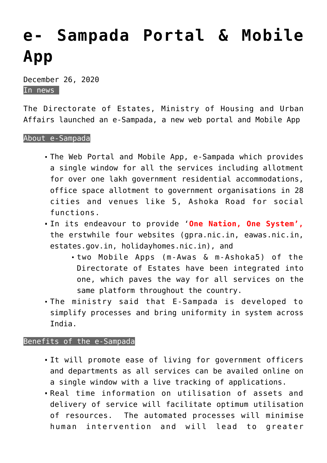## **[e- Sampada Portal & Mobile](https://journalsofindia.com/e-sampada-portal-mobile-app/) [App](https://journalsofindia.com/e-sampada-portal-mobile-app/)**

December 26, 2020 In news

The Directorate of Estates, Ministry of Housing and Urban Affairs launched an e-Sampada, a new web portal and Mobile App

## About e-Sampada

- The Web Portal and Mobile App, e-Sampada which provides a single window for all the services including allotment for over one lakh government residential accommodations, office space allotment to government organisations in 28 cities and venues like 5, Ashoka Road for social functions.
- In its endeavour to provide '**One Nation, One System',** the erstwhile four websites (gpra.nic.in, eawas.nic.in, estates.gov.in, holidayhomes.nic.in), and
	- two Mobile Apps (m-Awas & m-Ashoka5) of the Directorate of Estates have been integrated into one, which paves the way for all services on the same platform throughout the country.
- The ministry said that E-Sampada is developed to simplify processes and bring uniformity in system across India.

## Benefits of the e-Sampada

- It will promote ease of living for government officers and departments as all services can be availed online on a single window with a live tracking of applications.
- Real time information on utilisation of assets and delivery of service will facilitate optimum utilisation of resources. The automated processes will minimise human intervention and will lead to greater